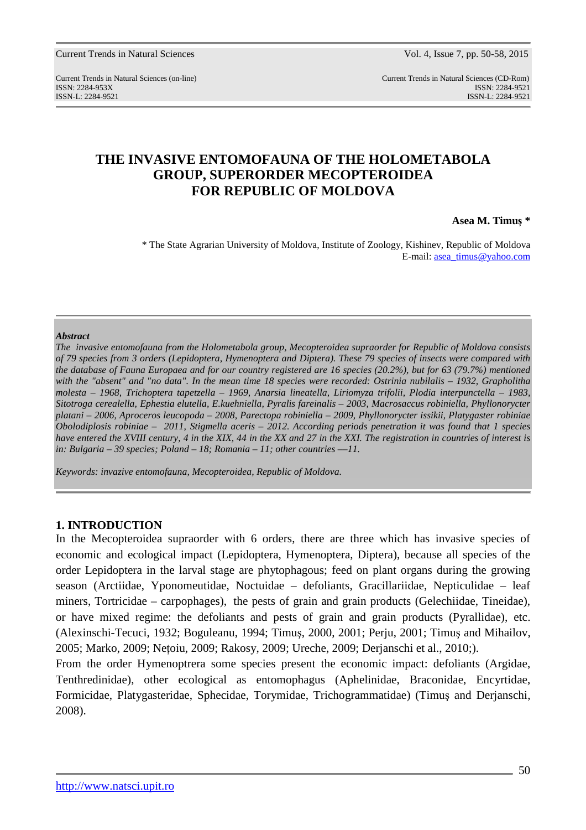Current Trends in Natural Sciences (on-line) Current Trends in Natural Sciences (CD-Rom) ISSN: 2284-953XISSN: 2284-9521 ISSN-L: 2284-9521 ISSN-L: 2284-9521

# **THE INVASIVE ENTOMOFAUNA OF THE HOLOMETABOLA GROUP, SUPERORDER MECOPTEROIDEA FOR REPUBLIC OF MOLDOVA**

**Asea M. Timuş \*** 

\* The State Agrarian University of Moldova, Institute of Zoology, Kishinev, Republic of Moldova E-mail: asea\_timus@yahoo.com

### *Abstract*

*The invasive entomofauna from the Holometabola group, Mecopteroidea supraorder for Republic of Moldova consists of 79 species from 3 orders (Lepidoptera, Hymenoptera and Diptera). These 79 species of insects were compared with the database of Fauna Europaea and for our country registered are 16 species (20.2%), but for 63 (79.7%) mentioned with the "absent" and "no data". In the mean time 18 species were recorded: Ostrinia nubilalis – 1932, Grapholitha molesta – 1968, Trichoptera tapetzella – 1969, Anarsia lineatella, Liriomyza trifolii, Plodia interpunctella – 1983, Sitotroga cerealella, Ephestia elutella, E.kuehniella, Pyralis fareinalis – 2003, Macrosaccus robiniella, Phyllonorycter platani – 2006, Aproceros leucopoda – 2008, Parectopa robiniella – 2009, Phyllonorycter issikii, Platygaster robiniae Obolodiplosis robiniae – 2011, Stigmella aceris – 2012. According periods penetration it was found that 1 species have entered the XVIII century, 4 in the XIX, 44 in the XX and 27 in the XXI. The registration in countries of interest is in: Bulgaria – 39 species; Poland – 18; Romania – 11; other countries ––11.* 

*Keywords: invazive entomofauna, Mecopteroidea, Republic of Moldova.* 

## **1. INTRODUCTION**

In the Mecopteroidea supraorder with 6 orders, there are three which has invasive species of economic and ecological impact (Lepidoptera, Hymenoptera, Diptera), because all species of the order Lepidoptera in the larval stage are phytophagous; feed on plant organs during the growing season (Arctiidae, Yponomeutidae, Noctuidae – defoliants, Gracillariidae, Nepticulidae – leaf miners, Tortricidae – carpophages), the pests of grain and grain products (Gelechiidae, Tineidae), or have mixed regime: the defoliants and pests of grain and grain products (Pyrallidae), etc. (Alexinschi-Tecuci, 1932; Boguleanu, 1994; Timuş, 2000, 2001; Perju, 2001; Timuş and Mihailov, 2005; Marko, 2009; Neţoiu, 2009; Rakosy, 2009; Ureche, 2009; Derjanschi et al., 2010;).

From the order Hymenoptrera some species present the economic impact: defoliants (Argidae, Tenthredinidae), other ecological as entomophagus (Aphelinidae, Braconidae, Encyrtidae, Formicidae, Platygasteridae, Sphecidae, Torymidae, Trichogrammatidae) (Timuş and Derjanschi, 2008).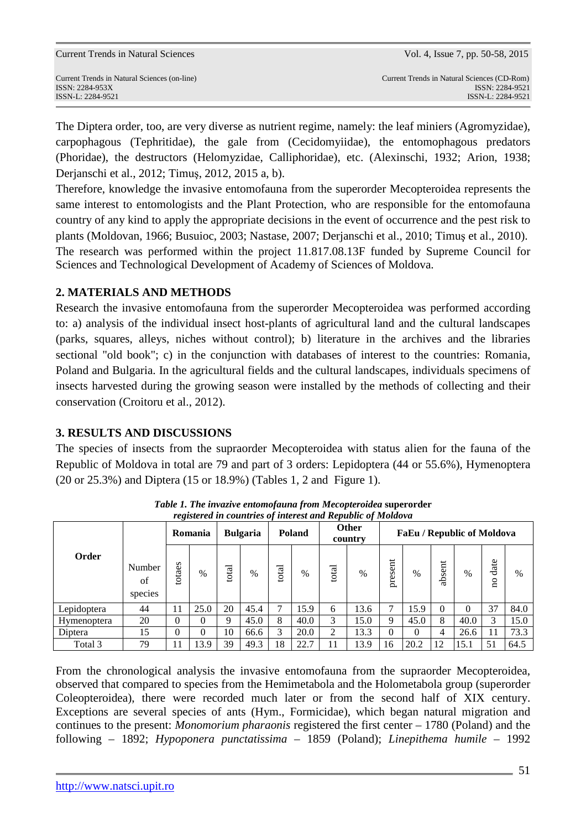The Diptera order, too, are very diverse as nutrient regime, namely: the leaf miniers (Agromyzidae), carpophagous (Tephritidae), the gale from (Cecidomyiidae), the entomophagous predators (Phoridae), the destructors (Helomyzidae, Calliphoridae), etc. (Alexinschi, 1932; Arion, 1938; Derjanschi et al., 2012; Timuş, 2012, 2015 a, b).

Therefore, knowledge the invasive entomofauna from the superorder Mecopteroidea represents the same interest to entomologists and the Plant Protection, who are responsible for the entomofauna country of any kind to apply the appropriate decisions in the event of occurrence and the pest risk to plants (Moldovan, 1966; Busuioc, 2003; Nastase, 2007; Derjanschi et al., 2010; Timuş et al., 2010). The research was performed within the project 11.817.08.13F funded by Supreme Council for Sciences and Technological Development of Academy of Sciences of Moldova.

## **2. MATERIALS AND METHODS**

Research the invasive entomofauna from the superorder Mecopteroidea was performed according to: a) analysis of the individual insect host-plants of agricultural land and the cultural landscapes (parks, squares, alleys, niches without control); b) literature in the archives and the libraries sectional "old book"; c) in the conjunction with databases of interest to the countries: Romania, Poland and Bulgaria. In the agricultural fields and the cultural landscapes, individuals specimens of insects harvested during the growing season were installed by the methods of collecting and their conservation (Croitoru et al., 2012).

# **3. RESULTS AND DISCUSSIONS**

The species of insects from the supraorder Mecopteroidea with status alien for the fauna of the Republic of Moldova in total are 79 and part of 3 orders: Lepidoptera (44 or 55.6%), Hymenoptera (20 or 25.3%) and Diptera (15 or 18.9%) (Tables 1, 2 and Figure 1).

| registerea in countries of interest and Kepublic of Motaova |                         |        |         |       |                 |       |               |                |                         |                            |          |          |               |                                 |      |  |  |  |
|-------------------------------------------------------------|-------------------------|--------|---------|-------|-----------------|-------|---------------|----------------|-------------------------|----------------------------|----------|----------|---------------|---------------------------------|------|--|--|--|
|                                                             |                         |        | Romania |       | <b>Bulgaria</b> |       | <b>Poland</b> |                | <b>Other</b><br>country | FaEu / Republic of Moldova |          |          |               |                                 |      |  |  |  |
| Order                                                       | Number<br>of<br>species | totaes | $\%$    | total | $\%$            | total | $\%$          | total          | $\frac{0}{0}$           | present                    | $\%$     | absent   | $\frac{0}{0}$ | date<br>$\overline{\mathbf{a}}$ | %    |  |  |  |
| Lepidoptera                                                 | 44                      | 11     | 25.0    | 20    | 45.4            | ⇁     | 15.9          | 6              | 13.6                    |                            | 15.9     | $\Omega$ | 0             | 37                              | 84.0 |  |  |  |
| Hymenoptera                                                 | 20                      | 0      | 0       | Q     | 45.0            | 8     | 40.0          | 3              | 15.0                    | 9                          | 45.0     | 8        | 40.0          | 3                               | 15.0 |  |  |  |
| Diptera                                                     | 15                      | 0      | 0       | 10    | 66.6            | 3     | 20.0          | $\overline{2}$ | 13.3                    | $\Omega$                   | $\Omega$ | 4        | 26.6          | 11                              | 73.3 |  |  |  |
| Total 3                                                     | 79                      | 11     | 13.9    | 39    | 49.3            | 18    | 22.7          | 11             | 13.9                    | 16                         | 20.2     | 12       | 15.1          | 51                              | 64.5 |  |  |  |

*Table 1. The invazive entomofauna from Mecopteroidea* **superorder** *registered in countries of interest and Republic of Moldova* 

From the chronological analysis the invasive entomofauna from the supraorder Mecopteroidea, observed that compared to species from the Hemimetabola and the Holometabola group (superorder Coleopteroidea), there were recorded much later or from the second half of XIX century. Exceptions are several species of ants (Hym., Formicidae), which began natural migration and continues to the present: *Monomorium pharaonis* registered the first center – 1780 (Poland) and the following – 1892; *Hypoponera punctatissima* – 1859 (Poland); *Linepithema humile* – 1992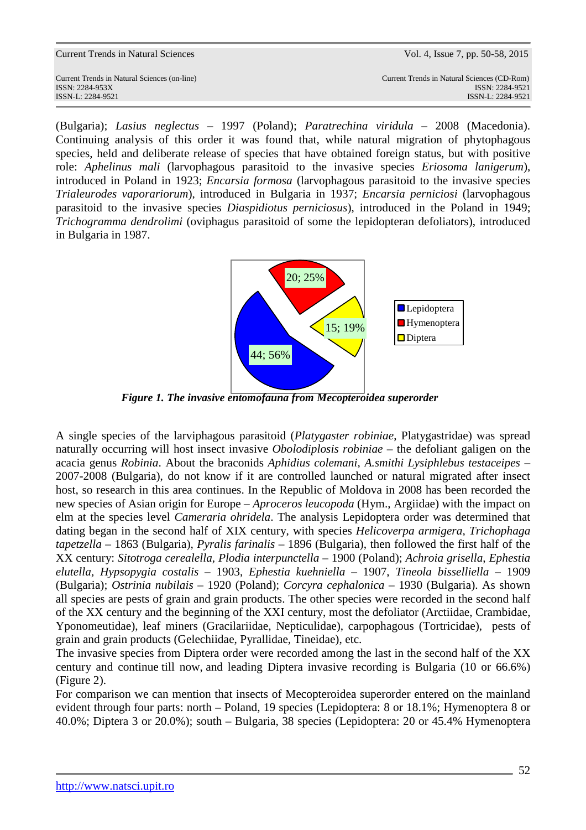| <b>Current Trends in Natural Sciences</b>                         | Vol. 4, Issue 7, pp. 50-58, 2015                               |
|-------------------------------------------------------------------|----------------------------------------------------------------|
| Current Trends in Natural Sciences (on-line)<br>$ISSN: 2284-953X$ | Current Trends in Natural Sciences (CD-Rom)<br>ISSN: 2284-9521 |
| ISSN-L: 2284-9521                                                 | ISSN-L: 2284-9521                                              |

(Bulgaria); *Lasius neglectus* – 1997 (Poland); *Paratrechina viridula* – 2008 (Macedonia). Continuing analysis of this order it was found that, while natural migration of phytophagous species, held and deliberate release of species that have obtained foreign status, but with positive role: *Aphelinus mali* (larvophagous parasitoid to the invasive species *Eriosoma lanigerum*), introduced in Poland in 1923; *Encarsia formosa* (larvophagous parasitoid to the invasive species *Trialeurodes vaporariorum*), introduced in Bulgaria in 1937; *Encarsia perniciosi* (larvophagous parasitoid to the invasive species *Diaspidiotus perniciosus*), introduced in the Poland in 1949; *Trichogramma dendrolimi* (oviphagus parasitoid of some the lepidopteran defoliators), introduced in Bulgaria in 1987.



*Figure 1. The invasive entomofauna from Mecopteroidea superorder*

A single species of the larviphagous parasitoid (*Platygaster robiniae*, Platygastridae) was spread naturally occurring will host insect invasive *Obolodiplosis robiniae* – the defoliant galigen on the acacia genus *Robinia*. About the braconids *Aphidius colemani, A.smithi Lysiphlebus testaceipes* – 2007-2008 (Bulgaria), do not know if it are controlled launched or natural migrated after insect host, so research in this area continues. In the Republic of Moldova in 2008 has been recorded the new species of Asian origin for Europe – *Aproceros leucopoda* (Hym., Argiidae) with the impact on elm at the species level *Cameraria ohridela*. The analysis Lepidoptera order was determined that dating began in the second half of XIX century, with species *Helicoverpa armigera, Trichophaga tapetzella* – 1863 (Bulgaria), *Pyralis farinalis* – 1896 (Bulgaria), then followed the first half of the XX century: *Sitotroga cerealella, Plodia interpunctella* – 1900 (Poland); *Achroia grisella*, *Ephestia elutella, Hypsopygia costalis* – 1903, *Ephestia kuehniella –* 1907, *Tineola bisselliella* – 1909 (Bulgaria); *Ostrinia nubilais* – 1920 (Poland); *Corcyra cephalonica* – 1930 (Bulgaria). As shown all species are pests of grain and grain products. The other species were recorded in the second half of the XX century and the beginning of the XXI century, most the defoliator (Arctiidae, Crambidae, Yponomeutidae), leaf miners (Gracilariidae, Nepticulidae), carpophagous (Tortricidae), pests of grain and grain products (Gelechiidae, Pyrallidae, Tineidae), etc.

The invasive species from Diptera order were recorded among the last in the second half of the XX century and continue till now, and leading Diptera invasive recording is Bulgaria (10 or 66.6%) (Figure 2).

For comparison we can mention that insects of Mecopteroidea superorder entered on the mainland evident through four parts: north – Poland, 19 species (Lepidoptera: 8 or 18.1%; Hymenoptera 8 or 40.0%; Diptera 3 or 20.0%); south – Bulgaria, 38 species (Lepidoptera: 20 or 45.4% Hymenoptera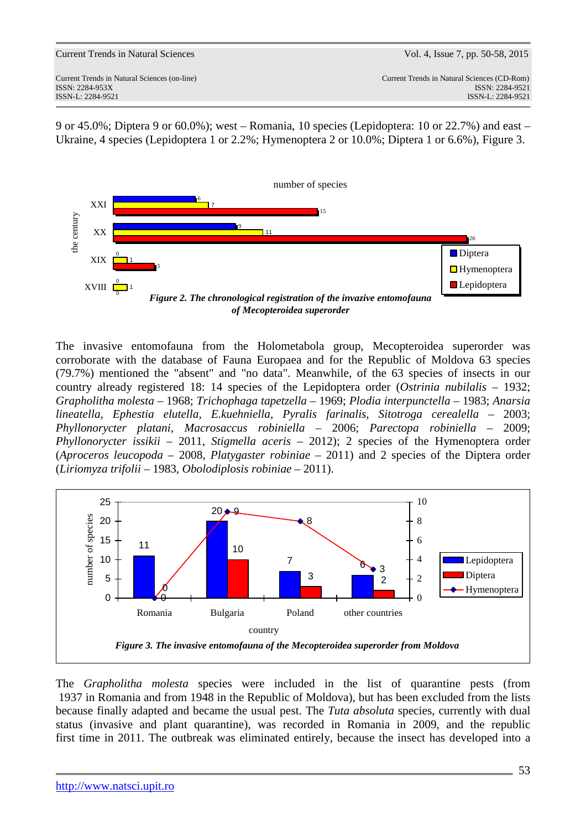9 or 45.0%; Diptera 9 or 60.0%); west – Romania, 10 species (Lepidoptera: 10 or 22.7%) and east – Ukraine, 4 species (Lepidoptera 1 or 2.2%; Hymenoptera 2 or 10.0%; Diptera 1 or 6.6%), Figure 3.



The invasive entomofauna from the Holometabola group, Mecopteroidea superorder was corroborate with the database of Fauna Europaea and for the Republic of Moldova 63 species (79.7%) mentioned the "absent" and "no data". Meanwhile, of the 63 species of insects in our country already registered 18: 14 species of the Lepidoptera order (*Ostrinia nubilalis* – 1932; *Grapholitha molesta* – 1968; *Trichophaga tapetzella* – 1969; *Plodia interpunctella* – 1983; *Anarsia lineatella, Ephestia elutella, E.kuehniella, Pyralis farinalis*, *Sitotroga cerealella* – 2003; *Phyllonorycter platani, Macrosaccus robiniella* – 2006; *Parectopa robiniella* – 2009; *Phyllonorycter issikii* – 2011, *Stigmella aceris* – 2012); 2 species of the Hymenoptera order (*Aproceros leucopoda* – 2008, *Platygaster robiniae* – 2011) and 2 species of the Diptera order (*Liriomyza trifolii* – 1983, *Obolodiplosis robiniae* – 2011).



The *Grapholitha molesta* species were included in the list of quarantine pests (from 1937 in Romania and from 1948 in the Republic of Moldova), but has been excluded from the lists because finally adapted and became the usual pest. The *Tuta absoluta* species*,* currently with dual status (invasive and plant quarantine), was recorded in Romania in 2009, and the republic first time in 2011. The outbreak was eliminated entirely, because the insect has developed into a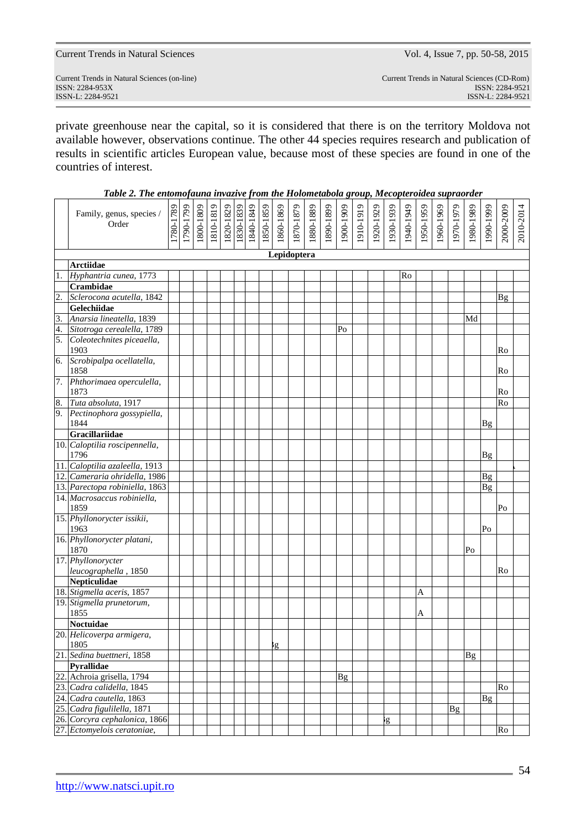| http://www.natsci.upit.ro |  |
|---------------------------|--|
|                           |  |

|                                                                                         | results in scientific articles European value, because most of these species are found in one of the |           |           |           |           |  |  |                                     |           |           |             |           |           |           |           |           |           |           |           |           |           |           |               |           |           |
|-----------------------------------------------------------------------------------------|------------------------------------------------------------------------------------------------------|-----------|-----------|-----------|-----------|--|--|-------------------------------------|-----------|-----------|-------------|-----------|-----------|-----------|-----------|-----------|-----------|-----------|-----------|-----------|-----------|-----------|---------------|-----------|-----------|
| countries of interest.                                                                  |                                                                                                      |           |           |           |           |  |  |                                     |           |           |             |           |           |           |           |           |           |           |           |           |           |           |               |           |           |
| Table 2. The entomofauna invazive from the Holometabola group, Mecopteroidea supraorder |                                                                                                      |           |           |           |           |  |  |                                     |           |           |             |           |           |           |           |           |           |           |           |           |           |           |               |           |           |
|                                                                                         |                                                                                                      |           |           |           |           |  |  |                                     |           |           |             |           |           |           |           |           |           |           |           |           |           |           |               |           |           |
|                                                                                         | Family, genus, species /                                                                             |           |           |           |           |  |  | 1820-1829<br>1830-1839<br>1840-1849 |           |           |             |           |           |           |           |           |           |           |           |           |           |           |               |           |           |
|                                                                                         | Order                                                                                                | 1780-1789 | 1790-1799 | 1800-1809 | 1810-1819 |  |  |                                     | 1850-1859 | 1860-1869 | 1870-1879   | 1880-1889 | 1890-1899 | 1900-1909 | 1910-1919 | 1920-1929 | 1930-1939 | 1940-1949 | 1950-1959 | 1960-1969 | 1970-1979 | 1980-1989 | 1990-1999     | 2000-2009 | 2010-2014 |
|                                                                                         |                                                                                                      |           |           |           |           |  |  |                                     |           |           |             |           |           |           |           |           |           |           |           |           |           |           |               |           |           |
|                                                                                         |                                                                                                      |           |           |           |           |  |  |                                     |           |           |             |           |           |           |           |           |           |           |           |           |           |           |               |           |           |
|                                                                                         |                                                                                                      |           |           |           |           |  |  |                                     |           |           | Lepidoptera |           |           |           |           |           |           |           |           |           |           |           |               |           |           |
| 1.                                                                                      | <b>Arctiidae</b><br>Hyphantria cunea, 1773                                                           |           |           |           |           |  |  |                                     |           |           |             |           |           |           |           |           |           | Ro        |           |           |           |           |               |           |           |
|                                                                                         | Crambidae                                                                                            |           |           |           |           |  |  |                                     |           |           |             |           |           |           |           |           |           |           |           |           |           |           |               |           |           |
| $\overline{2}$ .                                                                        | Sclerocona acutella, 1842                                                                            |           |           |           |           |  |  |                                     |           |           |             |           |           |           |           |           |           |           |           |           |           |           |               | <b>Bg</b> |           |
|                                                                                         | Gelechiidae                                                                                          |           |           |           |           |  |  |                                     |           |           |             |           |           |           |           |           |           |           |           |           |           |           |               |           |           |
|                                                                                         | Anarsia lineatella, 1839                                                                             |           |           |           |           |  |  |                                     |           |           |             |           |           |           |           |           |           |           |           |           |           | Md        |               |           |           |
| $\frac{3}{4}$ .<br>5.                                                                   | Sitotroga cerealella, 1789                                                                           |           |           |           |           |  |  |                                     |           |           |             |           |           | Po        |           |           |           |           |           |           |           |           |               |           |           |
|                                                                                         | Coleotechnites piceaella,                                                                            |           |           |           |           |  |  |                                     |           |           |             |           |           |           |           |           |           |           |           |           |           |           |               |           |           |
|                                                                                         | 1903                                                                                                 |           |           |           |           |  |  |                                     |           |           |             |           |           |           |           |           |           |           |           |           |           |           |               | Ro        |           |
| 6.                                                                                      | Scrobipalpa ocellatella,<br>1858                                                                     |           |           |           |           |  |  |                                     |           |           |             |           |           |           |           |           |           |           |           |           |           |           |               | Ro        |           |
|                                                                                         | 7. Phthorimaea operculella,                                                                          |           |           |           |           |  |  |                                     |           |           |             |           |           |           |           |           |           |           |           |           |           |           |               |           |           |
|                                                                                         | 1873                                                                                                 |           |           |           |           |  |  |                                     |           |           |             |           |           |           |           |           |           |           |           |           |           |           |               | Ro        |           |
| 8.                                                                                      | Tuta absoluta, 1917                                                                                  |           |           |           |           |  |  |                                     |           |           |             |           |           |           |           |           |           |           |           |           |           |           |               | Ro        |           |
|                                                                                         | 9. Pectinophora gossypiella,<br>1844                                                                 |           |           |           |           |  |  |                                     |           |           |             |           |           |           |           |           |           |           |           |           |           |           | Bg            |           |           |
|                                                                                         | Gracillariidae                                                                                       |           |           |           |           |  |  |                                     |           |           |             |           |           |           |           |           |           |           |           |           |           |           |               |           |           |
|                                                                                         | 10. Caloptilia roscipennella,                                                                        |           |           |           |           |  |  |                                     |           |           |             |           |           |           |           |           |           |           |           |           |           |           |               |           |           |
|                                                                                         | 1796                                                                                                 |           |           |           |           |  |  |                                     |           |           |             |           |           |           |           |           |           |           |           |           |           |           | $\mathbf{Bg}$ |           |           |
|                                                                                         | 11. Caloptilia azaleella, 1913                                                                       |           |           |           |           |  |  |                                     |           |           |             |           |           |           |           |           |           |           |           |           |           |           |               |           |           |
|                                                                                         | 12. Cameraria ohridella, 1986                                                                        |           |           |           |           |  |  |                                     |           |           |             |           |           |           |           |           |           |           |           |           |           |           | Bg            |           |           |
|                                                                                         | 13. Parectopa robiniella, 1863                                                                       |           |           |           |           |  |  |                                     |           |           |             |           |           |           |           |           |           |           |           |           |           |           | Bg            |           |           |
|                                                                                         | 14. Macrosaccus robiniella,<br>1859                                                                  |           |           |           |           |  |  |                                     |           |           |             |           |           |           |           |           |           |           |           |           |           |           |               | Po        |           |
|                                                                                         | 15. Phyllonorycter issikii,<br>1963                                                                  |           |           |           |           |  |  |                                     |           |           |             |           |           |           |           |           |           |           |           |           |           |           | Po            |           |           |
|                                                                                         | 16. Phyllonorycter platani,                                                                          |           |           |           |           |  |  |                                     |           |           |             |           |           |           |           |           |           |           |           |           |           |           |               |           |           |
|                                                                                         | 1870                                                                                                 |           |           |           |           |  |  |                                     |           |           |             |           |           |           |           |           |           |           |           |           |           | Po        |               |           |           |
|                                                                                         | 17. Phyllonorycter                                                                                   |           |           |           |           |  |  |                                     |           |           |             |           |           |           |           |           |           |           |           |           |           |           |               |           |           |
|                                                                                         | leucographella, 1850                                                                                 |           |           |           |           |  |  |                                     |           |           |             |           |           |           |           |           |           |           |           |           |           |           |               | Ro        |           |
|                                                                                         | Nepticulidae                                                                                         |           |           |           |           |  |  |                                     |           |           |             |           |           |           |           |           |           |           |           |           |           |           |               |           |           |
|                                                                                         | 18. Stigmella aceris, 1857<br>19. Stigmella prunetorum,                                              |           |           |           |           |  |  |                                     |           |           |             |           |           |           |           |           |           |           | A         |           |           |           |               |           |           |
|                                                                                         | 1855                                                                                                 |           |           |           |           |  |  |                                     |           |           |             |           |           |           |           |           |           |           | A         |           |           |           |               |           |           |
|                                                                                         | Noctuidae                                                                                            |           |           |           |           |  |  |                                     |           |           |             |           |           |           |           |           |           |           |           |           |           |           |               |           |           |
|                                                                                         | 20. Helicoverpa armigera,                                                                            |           |           |           |           |  |  |                                     |           |           |             |           |           |           |           |           |           |           |           |           |           |           |               |           |           |
|                                                                                         | 1805                                                                                                 |           |           |           |           |  |  |                                     |           | g,        |             |           |           |           |           |           |           |           |           |           |           |           |               |           |           |
|                                                                                         | 21. Sedina buettneri, 1858                                                                           |           |           |           |           |  |  |                                     |           |           |             |           |           |           |           |           |           |           |           |           |           | <b>Bg</b> |               |           |           |
|                                                                                         | Pyrallidae                                                                                           |           |           |           |           |  |  |                                     |           |           |             |           |           |           |           |           |           |           |           |           |           |           |               |           |           |
|                                                                                         | 22. Achroia grisella, 1794                                                                           |           |           |           |           |  |  |                                     |           |           |             |           |           | <b>Bg</b> |           |           |           |           |           |           |           |           |               |           |           |
|                                                                                         | 23. Cadra calidella, 1845                                                                            |           |           |           |           |  |  |                                     |           |           |             |           |           |           |           |           |           |           |           |           |           |           |               | Ro        |           |
|                                                                                         | 24. Cadra cautella, 1863                                                                             |           |           |           |           |  |  |                                     |           |           |             |           |           |           |           |           |           |           |           |           |           |           | <b>Bg</b>     |           |           |
|                                                                                         | 25. Cadra figulilella, 1871                                                                          |           |           |           |           |  |  |                                     |           |           |             |           |           |           |           |           |           |           |           |           | <b>Bg</b> |           |               |           |           |
|                                                                                         | 26. Corcyra cephalonica, 1866<br>27. Ectomyelois ceratoniae,                                         |           |           |           |           |  |  |                                     |           |           |             |           |           |           |           |           | Ιg        |           |           |           |           |           |               | Ro        |           |
|                                                                                         |                                                                                                      |           |           |           |           |  |  |                                     |           |           |             |           |           |           |           |           |           |           |           |           |           |           |               |           |           |

Current Trends in Natural Sciences (on-line) Current Trends in Natural Sciences (CD-Rom) ISSN: 2284-953XISSN: 2284-9521 ISSN-L: 2284-9521 ISSN-L: 2284-9521

private greenhouse near the capital, so it is considered that there is on the territory Moldova not available however, observations continue. The other 44 species requires research and publication of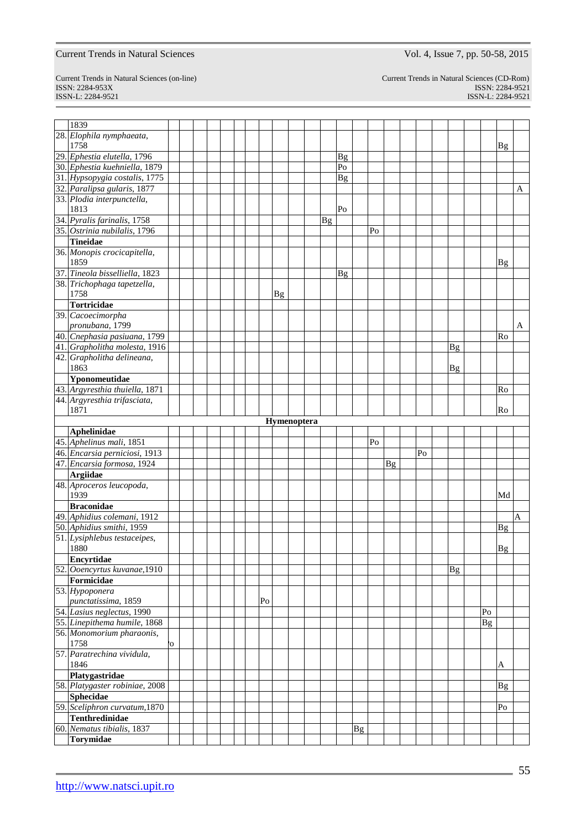ISSN-L: 2284-9521 ISSN-L: 2284-9521

Current Trends in Natural Sciences (on-line) Current Trends in Natural Sciences (CD-Rom) ISSN: 2284-953XISSN: 2284-9521

| 1839                             |    |  |  |  |    |           |             |    |                |    |    |    |    |           |                |                |   |
|----------------------------------|----|--|--|--|----|-----------|-------------|----|----------------|----|----|----|----|-----------|----------------|----------------|---|
| 28. Elophila nymphaeata,<br>1758 |    |  |  |  |    |           |             |    |                |    |    |    |    |           |                | <b>Bg</b>      |   |
| 29. Ephestia elutella, 1796      |    |  |  |  |    |           |             |    | <b>Bg</b>      |    |    |    |    |           |                |                |   |
| 30. Ephestia kuehniella, 1879    |    |  |  |  |    |           |             |    | P <sub>0</sub> |    |    |    |    |           |                |                |   |
| 31. Hypsopygia costalis, 1775    |    |  |  |  |    |           |             |    | <b>Bg</b>      |    |    |    |    |           |                |                |   |
| 32. Paralipsa gularis, 1877      |    |  |  |  |    |           |             |    |                |    |    |    |    |           |                |                | A |
| 33. Plodia interpunctella,       |    |  |  |  |    |           |             |    |                |    |    |    |    |           |                |                |   |
| 1813                             |    |  |  |  |    |           |             |    | Po             |    |    |    |    |           |                |                |   |
| 34. Pyralis farinalis, 1758      |    |  |  |  |    |           |             | Bg |                |    |    |    |    |           |                |                |   |
| 35. Ostrinia nubilalis, 1796     |    |  |  |  |    |           |             |    |                |    | Po |    |    |           |                |                |   |
| <b>Tineidae</b>                  |    |  |  |  |    |           |             |    |                |    |    |    |    |           |                |                |   |
| 36. Monopis crocicapitella,      |    |  |  |  |    |           |             |    |                |    |    |    |    |           |                |                |   |
| 1859                             |    |  |  |  |    |           |             |    |                |    |    |    |    |           |                | $\mathbf{B}$ g |   |
| 37. Tineola bisselliella, 1823   |    |  |  |  |    |           |             |    | <b>Bg</b>      |    |    |    |    |           |                |                |   |
| 38. Trichophaga tapetzella,      |    |  |  |  |    |           |             |    |                |    |    |    |    |           |                |                |   |
| 1758                             |    |  |  |  |    | <b>Bg</b> |             |    |                |    |    |    |    |           |                |                |   |
| <b>Tortricidae</b>               |    |  |  |  |    |           |             |    |                |    |    |    |    |           |                |                |   |
| 39. Cacoecimorpha                |    |  |  |  |    |           |             |    |                |    |    |    |    |           |                |                |   |
| pronubana, 1799                  |    |  |  |  |    |           |             |    |                |    |    |    |    |           |                |                | A |
| 40. Cnephasia pasiuana, 1799     |    |  |  |  |    |           |             |    |                |    |    |    |    |           |                | Ro             |   |
| 41. Grapholitha molesta, 1916    |    |  |  |  |    |           |             |    |                |    |    |    |    | <b>Bg</b> |                |                |   |
| 42. Grapholitha delineana,       |    |  |  |  |    |           |             |    |                |    |    |    |    |           |                |                |   |
| 1863                             |    |  |  |  |    |           |             |    |                |    |    |    |    | <b>Bg</b> |                |                |   |
| Yponomeutidae                    |    |  |  |  |    |           |             |    |                |    |    |    |    |           |                |                |   |
| 43. Argyresthia thuiella, 1871   |    |  |  |  |    |           |             |    |                |    |    |    |    |           |                | Ro             |   |
| 44. Argyresthia trifasciata,     |    |  |  |  |    |           |             |    |                |    |    |    |    |           |                |                |   |
| 1871                             |    |  |  |  |    |           |             |    |                |    |    |    |    |           |                | Ro             |   |
|                                  |    |  |  |  |    |           | Hymenoptera |    |                |    |    |    |    |           |                |                |   |
| Aphelinidae                      |    |  |  |  |    |           |             |    |                |    |    |    |    |           |                |                |   |
| 45. Aphelinus mali, 1851         |    |  |  |  |    |           |             |    |                |    | Po |    |    |           |                |                |   |
| 46. Encarsia perniciosi, 1913    |    |  |  |  |    |           |             |    |                |    |    |    | Po |           |                |                |   |
| 47. Encarsia formosa, 1924       |    |  |  |  |    |           |             |    |                |    |    | Bg |    |           |                |                |   |
| <b>Argiidae</b>                  |    |  |  |  |    |           |             |    |                |    |    |    |    |           |                |                |   |
| 48. Aproceros leucopoda,         |    |  |  |  |    |           |             |    |                |    |    |    |    |           |                |                |   |
| 1939                             |    |  |  |  |    |           |             |    |                |    |    |    |    |           |                | Md             |   |
| <b>Braconidae</b>                |    |  |  |  |    |           |             |    |                |    |    |    |    |           |                |                |   |
| 49. Aphidius colemani, 1912      |    |  |  |  |    |           |             |    |                |    |    |    |    |           |                |                | A |
| 50. Aphidius smithi, 1959        |    |  |  |  |    |           |             |    |                |    |    |    |    |           |                | <b>Bg</b>      |   |
| 51. Lysiphlebus testaceipes,     |    |  |  |  |    |           |             |    |                |    |    |    |    |           |                |                |   |
| 1880                             |    |  |  |  |    |           |             |    |                |    |    |    |    |           |                | Bg             |   |
| <b>Encyrtidae</b>                |    |  |  |  |    |           |             |    |                |    |    |    |    |           |                |                |   |
| 52. Ooencyrtus kuvanae, 1910     |    |  |  |  |    |           |             |    |                |    |    |    |    | Bg        |                |                |   |
| Formicidae                       |    |  |  |  |    |           |             |    |                |    |    |    |    |           |                |                |   |
| 53. Hypoponera                   |    |  |  |  |    |           |             |    |                |    |    |    |    |           |                |                |   |
| punctatissima, 1859              |    |  |  |  | Po |           |             |    |                |    |    |    |    |           |                |                |   |
| 54. Lasius neglectus, 1990       |    |  |  |  |    |           |             |    |                |    |    |    |    |           | P <sub>0</sub> |                |   |
| 55. Linepithema humile, 1868     |    |  |  |  |    |           |             |    |                |    |    |    |    |           | <b>Bg</b>      |                |   |
| 56. Monomorium pharaonis,        |    |  |  |  |    |           |             |    |                |    |    |    |    |           |                |                |   |
| 1758                             | 'O |  |  |  |    |           |             |    |                |    |    |    |    |           |                |                |   |
| 57. Paratrechina vividula,       |    |  |  |  |    |           |             |    |                |    |    |    |    |           |                |                |   |
| 1846                             |    |  |  |  |    |           |             |    |                |    |    |    |    |           |                | A              |   |
| Platygastridae                   |    |  |  |  |    |           |             |    |                |    |    |    |    |           |                |                |   |
| 58. Platygaster robiniae, 2008   |    |  |  |  |    |           |             |    |                |    |    |    |    |           |                | $\mathbf{B}$ g |   |
| <b>Sphecidae</b>                 |    |  |  |  |    |           |             |    |                |    |    |    |    |           |                |                |   |
| 59. Sceliphron curvatum, 1870    |    |  |  |  |    |           |             |    |                |    |    |    |    |           |                | Po             |   |
| <b>Tenthredinidae</b>            |    |  |  |  |    |           |             |    |                |    |    |    |    |           |                |                |   |
| 60. Nematus tibialis, 1837       |    |  |  |  |    |           |             |    |                | Bg |    |    |    |           |                |                |   |
| <b>Torymidae</b>                 |    |  |  |  |    |           |             |    |                |    |    |    |    |           |                |                |   |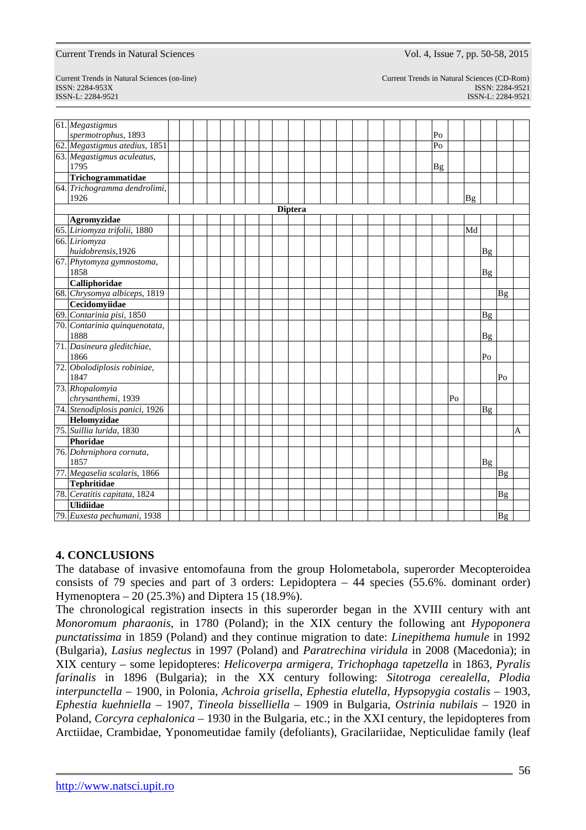Current Trends in Natural Sciences (on-line) Current Trends in Natural Sciences (CD-Rom) ISSN: 2284-953XISSN: 2284-9521 ISSN-L: 2284-9521 ISSN-L: 2284-9521

| 61. Megastigmus                                             |  |  |  |  |                |  |  |  |  |                |    |           |           |           |   |
|-------------------------------------------------------------|--|--|--|--|----------------|--|--|--|--|----------------|----|-----------|-----------|-----------|---|
| spermotrophus, 1893                                         |  |  |  |  |                |  |  |  |  | P <sub>O</sub> |    |           |           |           |   |
| 62. Megastigmus atedius, 1851<br>63. Megastigmus aculeatus, |  |  |  |  |                |  |  |  |  | Po             |    |           |           |           |   |
| 1795                                                        |  |  |  |  |                |  |  |  |  | <b>Bg</b>      |    |           |           |           |   |
| Trichogrammatidae                                           |  |  |  |  |                |  |  |  |  |                |    |           |           |           |   |
| 64. Trichogramma dendrolimi,                                |  |  |  |  |                |  |  |  |  |                |    |           |           |           |   |
| 1926                                                        |  |  |  |  |                |  |  |  |  |                |    | <b>Bg</b> |           |           |   |
|                                                             |  |  |  |  | <b>Diptera</b> |  |  |  |  |                |    |           |           |           |   |
| Agromyzidae<br>65. Liriomyza trifolii, 1880                 |  |  |  |  |                |  |  |  |  |                |    |           |           |           |   |
|                                                             |  |  |  |  |                |  |  |  |  |                |    | Md        |           |           |   |
| 66. Liriomyza<br>huidobrensis, 1926                         |  |  |  |  |                |  |  |  |  |                |    |           | Βg        |           |   |
| 67. Phytomyza gymnostoma,<br>1858                           |  |  |  |  |                |  |  |  |  |                |    |           | <b>Bg</b> |           |   |
| Calliphoridae                                               |  |  |  |  |                |  |  |  |  |                |    |           |           |           |   |
| 68. Chrysomya albiceps, 1819                                |  |  |  |  |                |  |  |  |  |                |    |           |           | <b>Bg</b> |   |
| Cecidomyiidae                                               |  |  |  |  |                |  |  |  |  |                |    |           |           |           |   |
| 69. Contarinia pisi, 1850                                   |  |  |  |  |                |  |  |  |  |                |    |           | <b>Bg</b> |           |   |
| 70. Contarinia quinquenotata,<br>1888                       |  |  |  |  |                |  |  |  |  |                |    |           | Βg        |           |   |
| 71. Dasineura gleditchiae,<br>1866                          |  |  |  |  |                |  |  |  |  |                |    |           | Po        |           |   |
| 72. Obolodiplosis robiniae,<br>1847                         |  |  |  |  |                |  |  |  |  |                |    |           |           | Po        |   |
| 73. Rhopalomyia<br>chrysanthemi, 1939                       |  |  |  |  |                |  |  |  |  |                | Po |           |           |           |   |
| 74. Stenodiplosis panici, 1926                              |  |  |  |  |                |  |  |  |  |                |    |           | Bg        |           |   |
| Helomyzidae                                                 |  |  |  |  |                |  |  |  |  |                |    |           |           |           |   |
| 75. Suillia lurida, 1830                                    |  |  |  |  |                |  |  |  |  |                |    |           |           |           | A |
| Phoridae                                                    |  |  |  |  |                |  |  |  |  |                |    |           |           |           |   |
| 76. Dohrniphora cornuta,                                    |  |  |  |  |                |  |  |  |  |                |    |           |           |           |   |
| 1857                                                        |  |  |  |  |                |  |  |  |  |                |    |           | <b>Bg</b> |           |   |
| 77. Megaselia scalaris, 1866                                |  |  |  |  |                |  |  |  |  |                |    |           |           | <b>Bg</b> |   |
| <b>Tephritidae</b>                                          |  |  |  |  |                |  |  |  |  |                |    |           |           |           |   |
| 78. Ceratitis capitata, 1824                                |  |  |  |  |                |  |  |  |  |                |    |           |           | Βg        |   |
| <b>Ulidiidae</b>                                            |  |  |  |  |                |  |  |  |  |                |    |           |           |           |   |
| 79. Euxesta pechumani, 1938                                 |  |  |  |  |                |  |  |  |  |                |    |           |           | <b>Bg</b> |   |

## **4. CONCLUSIONS**

The database of invasive entomofauna from the group Holometabola, superorder Mecopteroidea consists of 79 species and part of 3 orders: Lepidoptera – 44 species (55.6%. dominant order) Hymenoptera – 20 (25.3%) and Diptera 15 (18.9%).

The chronological registration insects in this superorder began in the XVIII century with ant *Monoromum pharaonis*, in 1780 (Poland); in the XIX century the following ant *Hypoponera punctatissima* in 1859 (Poland) and they continue migration to date: *Linepithema humule* in 1992 (Bulgaria), *Lasius neglectus* in 1997 (Poland) and *Paratrechina viridula* in 2008 (Macedonia); in XIX century – some lepidopteres: *Helicoverpa armigera, Trichophaga tapetzella* in 1863, *Pyralis farinalis* in 1896 (Bulgaria); in the XX century following: *Sitotroga cerealella, Plodia interpunctella* – 1900, in Polonia, *Achroia grisella*, *Ephestia elutella, Hypsopygia costalis* – 1903, *Ephestia kuehniella –* 1907, *Tineola bisselliella* – 1909 in Bulgaria, *Ostrinia nubilais* – 1920 in Poland, *Corcyra cephalonica* – 1930 in the Bulgaria, etc.; in the XXI century, the lepidopteres from Arctiidae, Crambidae, Yponomeutidae family (defoliants), Gracilariidae, Nepticulidae family (leaf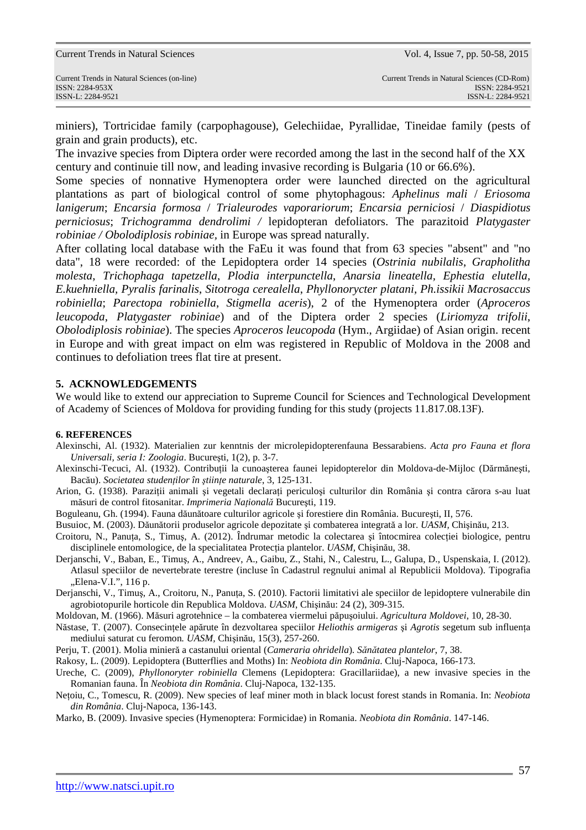miniers), Tortricidae family (carpophagouse), Gelechiidae, Pyrallidae, Tineidae family (pests of grain and grain products), etc.

The invazive species from Diptera order were recorded among the last in the second half of the XX century and continuie till now, and leading invasive recording is Bulgaria (10 or 66.6%).

Some species of nonnative Hymenoptera order were launched directed on the agricultural plantations as part of biological control of some phytophagous: *Aphelinus mali* / *Eriosoma lanigerum*; *Encarsia formosa* / *Trialeurodes vaporariorum*; *Encarsia perniciosi* / *Diaspidiotus perniciosus*; *Trichogramma dendrolimi /* lepidopteran defoliators. The parazitoid *Platygaster robiniae / Obolodiplosis robiniae,* in Europe was spread naturally.

After collating local database with the FaEu it was found that from 63 species "absent" and "no data", 18 were recorded: of the Lepidoptera order 14 species (*Ostrinia nubilalis*, *Grapholitha molesta*, *Trichophaga tapetzella*, *Plodia interpunctella*, *Anarsia lineatella, Ephestia elutella, E.kuehniella, Pyralis farinalis*, *Sitotroga cerealella*, *Phyllonorycter platani, Ph.issikii Macrosaccus robiniella*; *Parectopa robiniella*, *Stigmella aceris*), 2 of the Hymenoptera order (*Aproceros leucopoda*, *Platygaster robiniae*) and of the Diptera order 2 species (*Liriomyza trifolii*, *Obolodiplosis robiniae*). The species *Aproceros leucopoda* (Hym., Argiidae) of Asian origin. recent in Europe and with great impact on elm was registered in Republic of Moldova in the 2008 and continues to defoliation trees flat tire at present.

### **5. ACKNOWLEDGEMENTS**

We would like to extend our appreciation to Supreme Council for Sciences and Technological Development of Academy of Sciences of Moldova for providing funding for this study (projects 11.817.08.13F).

#### **6. REFERENCES**

- Alexinschi, Al. (1932). Materialien zur kenntnis der microlepidopterenfauna Bessarabiens. *Acta pro Fauna et flora Universali, seria I: Zoologia*. Bucureşti, 1(2), p. 3-7.
- Alexinschi-Tecuci, Al. (1932). Contribuţii la cunoaşterea faunei lepidopterelor din Moldova-de-Mijloc (Dărmăneşti, Bacău). *Societatea studenţilor în ştiinţe naturale*, 3, 125-131.
- Arion, G. (1938). Paraziții animali și vegetali declarați periculoși culturilor din România și contra cărora s-au luat măsuri de control fitosanitar. *Imprimeria Naţională* Bucureşti, 119.
- Boguleanu, Gh. (1994). Fauna dăunătoare culturilor agricole şi forestiere din România. Bucureşti, II, 576.
- Busuioc, M. (2003). Dăunătorii produselor agricole depozitate şi combaterea integrată a lor. *UASM,* Chişinău, 213.
- Croitoru, N., Panuta, S., Timus, A. (2012). Îndrumar metodic la colectarea și întocmirea colectiei biologice, pentru disciplinele entomologice, de la specialitatea Protecţia plantelor. *UASM,* Chişinău, 38.
- Derjanschi, V., Baban, E., Timuş, A., Andreev, A., Gaibu, Z., Stahi, N., Calestru, L., Galupa, D., Uspenskaia, I. (2012). Atlasul speciilor de nevertebrate terestre (incluse în Cadastrul regnului animal al Republicii Moldova). Tipografia "Elena-V.I.", 116 p.
- Derjanschi, V., Timuş, A., Croitoru, N., Panuţa, S. (2010). Factorii limitativi ale speciilor de lepidoptere vulnerabile din agrobiotopurile horticole din Republica Moldova. *UASM*, Chişinău: 24 (2), 309-315.
- Moldovan, M. (1966). Măsuri agrotehnice la combaterea viermelui păpuşoiului. *Agricultura Moldovei*, 10, 28-30.
- Năstase, T. (2007). Consecinţele apărute în dezvoltarea speciilor *Heliothis armigeras* şi *Agrotis* segetum sub influenţa mediului saturat cu feromon*. UASM,* Chişinău, 15(3), 257-260.
- Perju, T. (2001). Molia minieră a castanului oriental (*Cameraria ohridella*)*. Sănătatea plantelor*, 7, 38.
- Rakosy, L. (2009). Lepidoptera (Butterflies and Moths) In: *Neobiota din România*. Cluj-Napoca, 166-173.
- Ureche, C. (2009), *Phyllonoryter robiniella* Clemens (Lepidoptera: Gracillariidae), a new invasive species in the Romanian fauna. În *Neobiota din România*. Cluj-Napoca, 132-135.
- Neţoiu, C., Tomescu, R. (2009). New species of leaf miner moth in black locust forest stands in Romania. In: *Neobiota din România*. Cluj-Napoca, 136-143.

Marko, B. (2009). Invasive species (Hymenoptera: Formicidae) in Romania. *Neobiota din România*. 147-146.